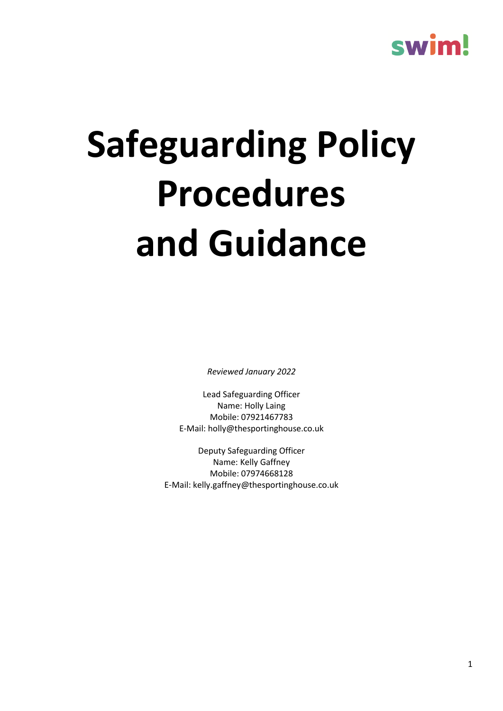### swim!

# **Safeguarding Policy Procedures and Guidance**

*Reviewed January 2022*

Lead Safeguarding Officer Name: Holly Laing Mobile: 07921467783 E-Mail: holly@thesportinghouse.co.uk

Deputy Safeguarding Officer Name: Kelly Gaffney Mobile: 07974668128 E-Mail: kelly.gaffney@thesportinghouse.co.uk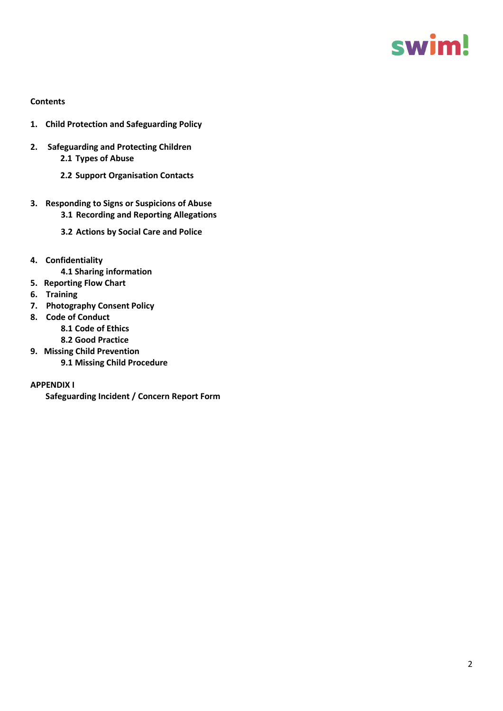

#### **Contents**

- **1. Child Protection and Safeguarding Policy**
- **2. Safeguarding and Protecting Children 2.1 Types of Abuse**
	- **2.2 Support Organisation Contacts**
- **3. Responding to Signs or Suspicions of Abuse 3.1 Recording and Reporting Allegations**
	- **3.2 Actions by Social Care and Police**
- **4. Confidentiality**
	- **4.1 Sharing information**
- **5. Reporting Flow Chart**
- **6. Training**
- **7. Photography Consent Policy**
- **8. Code of Conduct**
	- **8.1 Code of Ethics**
	- **8.2 Good Practice**
- **9. Missing Child Prevention**
	- **9.1 Missing Child Procedure**

#### **APPENDIX I**

**Safeguarding Incident / Concern Report Form**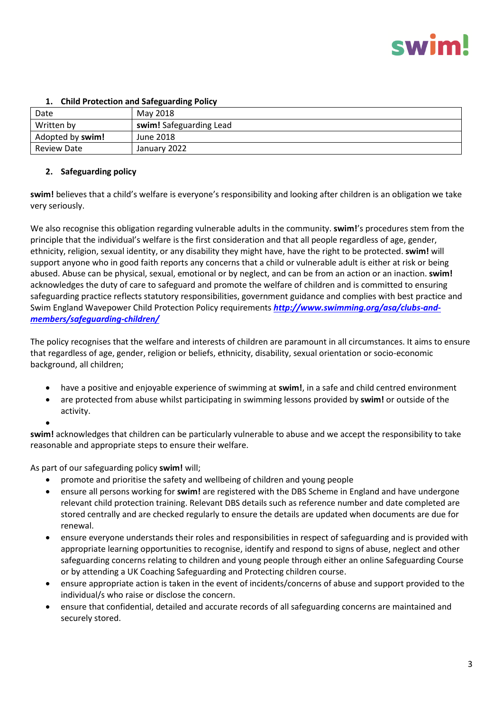| Date               | May 2018                |  |
|--------------------|-------------------------|--|
| Written by         | swim! Safeguarding Lead |  |
| Adopted by swim!   | June 2018               |  |
| <b>Review Date</b> | January 2022            |  |

#### **1. Child Protection and Safeguarding Policy**

#### **2. Safeguarding policy**

**swim!** believes that a child's welfare is everyone's responsibility and looking after children is an obligation we take very seriously.

We also recognise this obligation regarding vulnerable adults in the community. **swim!**'s procedures stem from the principle that the individual's welfare is the first consideration and that all people regardless of age, gender, ethnicity, religion, sexual identity, or any disability they might have, have the right to be protected. **swim!** will support anyone who in good faith reports any concerns that a child or vulnerable adult is either at risk or being abused. Abuse can be physical, sexual, emotional or by neglect, and can be from an action or an inaction. **swim!**  acknowledges the duty of care to safeguard and promote the welfare of children and is committed to ensuring safeguarding practice reflects statutory responsibilities, government guidance and complies with best practice and Swim England Wavepower Child Protection Policy requirements *[http://www.swimming.org/asa/clubs-and](http://www.swimming.org/asa/clubs-and-members/safeguarding-children/)[members/safeguarding-children/](http://www.swimming.org/asa/clubs-and-members/safeguarding-children/)*

The policy recognises that the welfare and interests of children are paramount in all circumstances. It aims to ensure that regardless of age, gender, religion or beliefs, ethnicity, disability, sexual orientation or socio-economic background, all children;

- have a positive and enjoyable experience of swimming at **swim!**, in a safe and child centred environment
- are protected from abuse whilst participating in swimming lessons provided by **swim!** or outside of the activity.
- •

**swim!** acknowledges that children can be particularly vulnerable to abuse and we accept the responsibility to take reasonable and appropriate steps to ensure their welfare.

As part of our safeguarding policy **swim!** will;

- promote and prioritise the safety and wellbeing of children and young people
- ensure all persons working for **swim!** are registered with the DBS Scheme in England and have undergone relevant child protection training. Relevant DBS details such as reference number and date completed are stored centrally and are checked regularly to ensure the details are updated when documents are due for renewal.
- ensure everyone understands their roles and responsibilities in respect of safeguarding and is provided with appropriate learning opportunities to recognise, identify and respond to signs of abuse, neglect and other safeguarding concerns relating to children and young people through either an online Safeguarding Course or by attending a UK Coaching Safeguarding and Protecting children course.
- ensure appropriate action is taken in the event of incidents/concerns of abuse and support provided to the individual/s who raise or disclose the concern.
- ensure that confidential, detailed and accurate records of all safeguarding concerns are maintained and securely stored.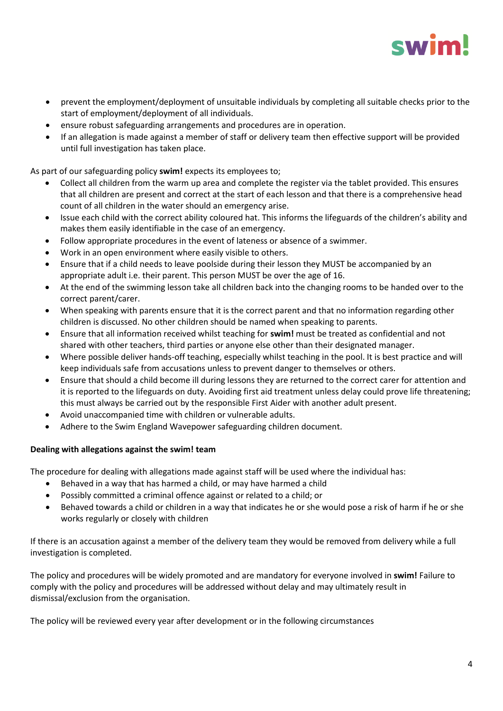

- prevent the employment/deployment of unsuitable individuals by completing all suitable checks prior to the start of employment/deployment of all individuals.
- ensure robust safeguarding arrangements and procedures are in operation.
- If an allegation is made against a member of staff or delivery team then effective support will be provided until full investigation has taken place.

As part of our safeguarding policy **swim!** expects its employees to;

- Collect all children from the warm up area and complete the register via the tablet provided. This ensures that all children are present and correct at the start of each lesson and that there is a comprehensive head count of all children in the water should an emergency arise.
- Issue each child with the correct ability coloured hat. This informs the lifeguards of the children's ability and makes them easily identifiable in the case of an emergency.
- Follow appropriate procedures in the event of lateness or absence of a swimmer.
- Work in an open environment where easily visible to others.
- Ensure that if a child needs to leave poolside during their lesson they MUST be accompanied by an appropriate adult i.e. their parent. This person MUST be over the age of 16.
- At the end of the swimming lesson take all children back into the changing rooms to be handed over to the correct parent/carer.
- When speaking with parents ensure that it is the correct parent and that no information regarding other children is discussed. No other children should be named when speaking to parents.
- Ensure that all information received whilst teaching for **swim!** must be treated as confidential and not shared with other teachers, third parties or anyone else other than their designated manager.
- Where possible deliver hands-off teaching, especially whilst teaching in the pool. It is best practice and will keep individuals safe from accusations unless to prevent danger to themselves or others.
- Ensure that should a child become ill during lessons they are returned to the correct carer for attention and it is reported to the lifeguards on duty. Avoiding first aid treatment unless delay could prove life threatening; this must always be carried out by the responsible First Aider with another adult present.
- Avoid unaccompanied time with children or vulnerable adults.
- Adhere to the Swim England Wavepower safeguarding children document.

#### **Dealing with allegations against the swim! team**

The procedure for dealing with allegations made against staff will be used where the individual has:

- Behaved in a way that has harmed a child, or may have harmed a child
- Possibly committed a criminal offence against or related to a child; or
- Behaved towards a child or children in a way that indicates he or she would pose a risk of harm if he or she works regularly or closely with children

If there is an accusation against a member of the delivery team they would be removed from delivery while a full investigation is completed.

The policy and procedures will be widely promoted and are mandatory for everyone involved in **swim!** Failure to comply with the policy and procedures will be addressed without delay and may ultimately result in dismissal/exclusion from the organisation.

The policy will be reviewed every year after development or in the following circumstances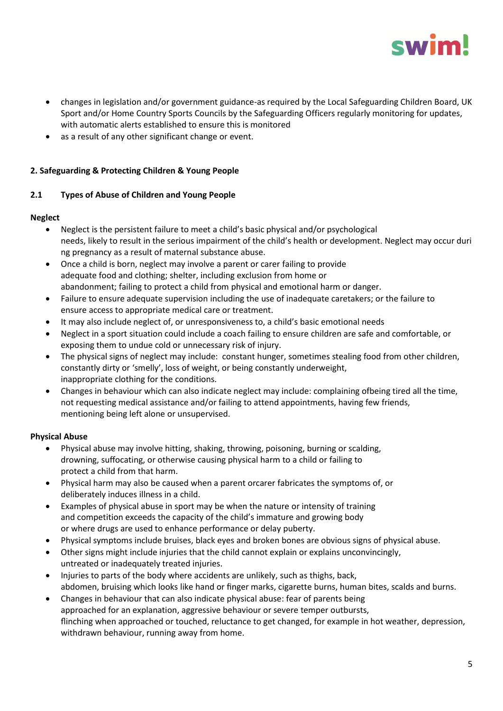

- changes in legislation and/or government guidance-as required by the Local Safeguarding Children Board, UK Sport and/or Home Country Sports Councils by the Safeguarding Officers regularly monitoring for updates, with automatic alerts established to ensure this is monitored
- as a result of any other significant change or event.

#### **2. Safeguarding & Protecting Children & Young People**

#### **2.1 Types of Abuse of Children and Young People**

#### **Neglect**

- Neglect is the persistent failure to meet a child's basic physical and/or psychological needs, likely to result in the serious impairment of the child's health or development. Neglect may occur duri ng pregnancy as a result of maternal substance abuse.
- Once a child is born, neglect may involve a parent or carer failing to provide adequate food and clothing; shelter, including exclusion from home or abandonment; failing to protect a child from physical and emotional harm or danger.
- Failure to ensure adequate supervision including the use of inadequate caretakers; or the failure to ensure access to appropriate medical care or treatment.
- It may also include neglect of, or unresponsiveness to, a child's basic emotional needs
- Neglect in a sport situation could include a coach failing to ensure children are safe and comfortable, or exposing them to undue cold or unnecessary risk of injury.
- The physical signs of neglect may include: constant hunger, sometimes stealing food from other children, constantly dirty or 'smelly', loss of weight, or being constantly underweight, inappropriate clothing for the conditions.
- Changes in behaviour which can also indicate neglect may include: complaining ofbeing tired all the time, not requesting medical assistance and/or failing to attend appointments, having few friends, mentioning being left alone or unsupervised.

#### **Physical Abuse**

- Physical abuse may involve hitting, shaking, throwing, poisoning, burning or scalding, drowning, suffocating, or otherwise causing physical harm to a child or failing to protect a child from that harm.
- Physical harm may also be caused when a parent orcarer fabricates the symptoms of, or deliberately induces illness in a child.
- Examples of physical abuse in sport may be when the nature or intensity of training and competition exceeds the capacity of the child's immature and growing body or where drugs are used to enhance performance or delay puberty.
- Physical symptoms include bruises, black eyes and broken bones are obvious signs of physical abuse.
- Other signs might include injuries that the child cannot explain or explains unconvincingly, untreated or inadequately treated injuries.
- Injuries to parts of the body where accidents are unlikely, such as thighs, back, abdomen, bruising which looks like hand or finger marks, cigarette burns, human bites, scalds and burns.
- Changes in behaviour that can also indicate physical abuse: fear of parents being approached for an explanation, aggressive behaviour or severe temper outbursts, flinching when approached or touched, reluctance to get changed, for example in hot weather, depression, withdrawn behaviour, running away from home.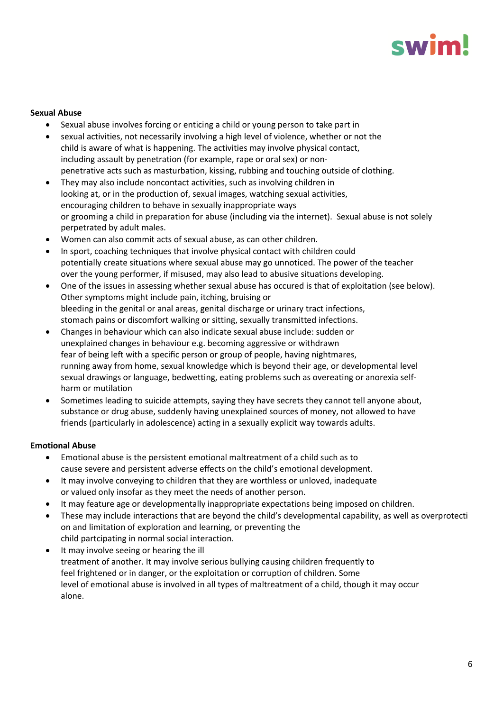## swin

#### **Sexual Abuse**

- Sexual abuse involves forcing or enticing a child or young person to take part in
- sexual activities, not necessarily involving a high level of violence, whether or not the child is aware of what is happening. The activities may involve physical contact, including assault by penetration (for example, rape or oral sex) or nonpenetrative acts such as masturbation, kissing, rubbing and touching outside of clothing.
- They may also include noncontact activities, such as involving children in looking at, or in the production of, sexual images, watching sexual activities, encouraging children to behave in sexually inappropriate ways or grooming a child in preparation for abuse (including via the internet). Sexual abuse is not solely perpetrated by adult males.
- Women can also commit acts of sexual abuse, as can other children.
- In sport, coaching techniques that involve physical contact with children could potentially create situations where sexual abuse may go unnoticed. The power of the teacher over the young performer, if misused, may also lead to abusive situations developing.
- One of the issues in assessing whether sexual abuse has occured is that of exploitation (see below). Other symptoms might include pain, itching, bruising or bleeding in the genital or anal areas, genital discharge or urinary tract infections, stomach pains or discomfort walking or sitting, sexually transmitted infections.
- Changes in behaviour which can also indicate sexual abuse include: sudden or unexplained changes in behaviour e.g. becoming aggressive or withdrawn fear of being left with a specific person or group of people, having nightmares, running away from home, sexual knowledge which is beyond their age, or developmental level sexual drawings or language, bedwetting, eating problems such as overeating or anorexia selfharm or mutilation
- Sometimes leading to suicide attempts, saying they have secrets they cannot tell anyone about, substance or drug abuse, suddenly having unexplained sources of money, not allowed to have friends (particularly in adolescence) acting in a sexually explicit way towards adults.

#### **Emotional Abuse**

- Emotional abuse is the persistent emotional maltreatment of a child such as to cause severe and persistent adverse effects on the child's emotional development.
- It may involve conveying to children that they are worthless or unloved, inadequate or valued only insofar as they meet the needs of another person.
- It may feature age or developmentally inappropriate expectations being imposed on children.
- These may include interactions that are beyond the child's developmental capability, as well as overprotecti on and limitation of exploration and learning, or preventing the child partcipating in normal social interaction.
- It may involve seeing or hearing the ill treatment of another. It may involve serious bullying causing children frequently to feel frightened or in danger, or the exploitation or corruption of children. Some level of emotional abuse is involved in all types of maltreatment of a child, though it may occur alone.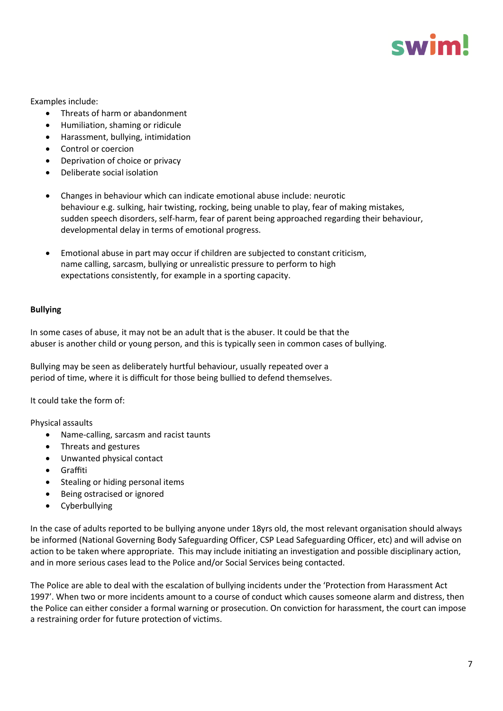

Examples include:

- Threats of harm or abandonment
- Humiliation, shaming or ridicule
- Harassment, bullying, intimidation
- Control or coercion
- Deprivation of choice or privacy
- Deliberate social isolation
- Changes in behaviour which can indicate emotional abuse include: neurotic behaviour e.g. sulking, hair twisting, rocking, being unable to play, fear of making mistakes, sudden speech disorders, self-harm, fear of parent being approached regarding their behaviour, developmental delay in terms of emotional progress.
- Emotional abuse in part may occur if children are subjected to constant criticism, name calling, sarcasm, bullying or unrealistic pressure to perform to high expectations consistently, for example in a sporting capacity.

#### **Bullying**

In some cases of abuse, it may not be an adult that is the abuser. It could be that the abuser is another child or young person, and this is typically seen in common cases of bullying.

Bullying may be seen as deliberately hurtful behaviour, usually repeated over a period of time, where it is difficult for those being bullied to defend themselves.

It could take the form of:

Physical assaults

- Name‐calling, sarcasm and racist taunts
- Threats and gestures
- Unwanted physical contact
- Graffiti
- Stealing or hiding personal items
- Being ostracised or ignored
- Cyberbullying

In the case of adults reported to be bullying anyone under 18yrs old, the most relevant organisation should always be informed (National Governing Body Safeguarding Officer, CSP Lead Safeguarding Officer, etc) and will advise on action to be taken where appropriate. This may include initiating an investigation and possible disciplinary action, and in more serious cases lead to the Police and/or Social Services being contacted.

The Police are able to deal with the escalation of bullying incidents under the 'Protection from Harassment Act 1997'. When two or more incidents amount to a course of conduct which causes someone alarm and distress, then the Police can either consider a formal warning or prosecution. On conviction for harassment, the court can impose a restraining order for future protection of victims.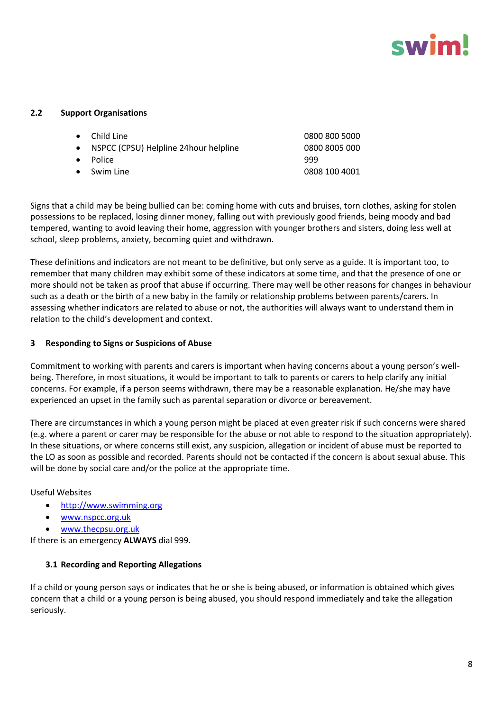

#### **2.2 Support Organisations**

| $\bullet$ Child Line                     | 0800 800 5000 |
|------------------------------------------|---------------|
| • NSPCC (CPSU) Helpline 24 hour helpline | 0800 8005 000 |
| • Police                                 | 999           |
| • Swim Line                              | 0808 100 4001 |
|                                          |               |

Signs that a child may be being bullied can be: coming home with cuts and bruises, torn clothes, asking for stolen possessions to be replaced, losing dinner money, falling out with previously good friends, being moody and bad tempered, wanting to avoid leaving their home, aggression with younger brothers and sisters, doing less well at school, sleep problems, anxiety, becoming quiet and withdrawn.

These definitions and indicators are not meant to be definitive, but only serve as a guide. It is important too, to remember that many children may exhibit some of these indicators at some time, and that the presence of one or more should not be taken as proof that abuse if occurring. There may well be other reasons for changes in behaviour such as a death or the birth of a new baby in the family or relationship problems between parents/carers. In assessing whether indicators are related to abuse or not, the authorities will always want to understand them in relation to the child's development and context.

#### **3 Responding to Signs or Suspicions of Abuse**

Commitment to working with parents and carers is important when having concerns about a young person's wellbeing. Therefore, in most situations, it would be important to talk to parents or carers to help clarify any initial concerns. For example, if a person seems withdrawn, there may be a reasonable explanation. He/she may have experienced an upset in the family such as parental separation or divorce or bereavement.

There are circumstances in which a young person might be placed at even greater risk if such concerns were shared (e.g. where a parent or carer may be responsible for the abuse or not able to respond to the situation appropriately). In these situations, or where concerns still exist, any suspicion, allegation or incident of abuse must be reported to the LO as soon as possible and recorded. Parents should not be contacted if the concern is about sexual abuse. This will be done by social care and/or the police at the appropriate time.

Useful Websites

- [http://www.swimming.org](http://www.swimming.org/)
- [www.nspcc.org.uk](http://www.nspcc.org.uk/)
- [www.thecpsu.org.uk](http://www.thecpsu.org.uk/)

If there is an emergency **ALWAYS** dial 999.

#### **3.1 Recording and Reporting Allegations**

If a child or young person says or indicates that he or she is being abused, or information is obtained which gives concern that a child or a young person is being abused, you should respond immediately and take the allegation seriously.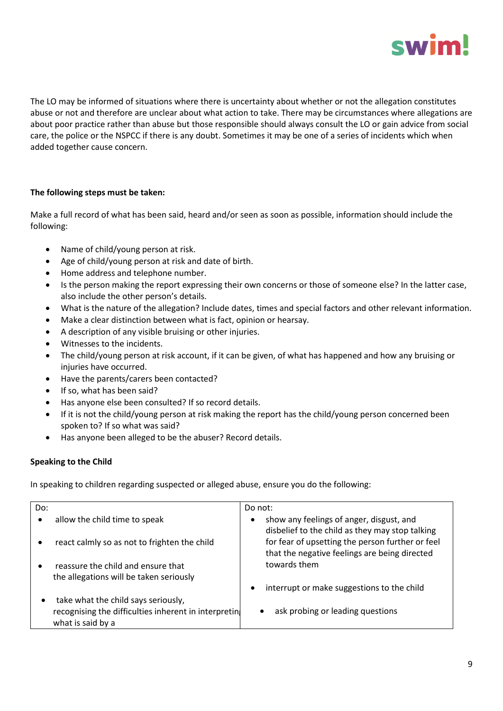

The LO may be informed of situations where there is uncertainty about whether or not the allegation constitutes abuse or not and therefore are unclear about what action to take. There may be circumstances where allegations are about poor practice rather than abuse but those responsible should always consult the LO or gain advice from social care, the police or the NSPCC if there is any doubt. Sometimes it may be one of a series of incidents which when added together cause concern.

#### **The following steps must be taken:**

Make a full record of what has been said, heard and/or seen as soon as possible, information should include the following:

- Name of child/young person at risk.
- Age of child/young person at risk and date of birth.
- Home address and telephone number.
- Is the person making the report expressing their own concerns or those of someone else? In the latter case, also include the other person's details.
- What is the nature of the allegation? Include dates, times and special factors and other relevant information.
- Make a clear distinction between what is fact, opinion or hearsay.
- A description of any visible bruising or other injuries.
- Witnesses to the incidents.
- The child/young person at risk account, if it can be given, of what has happened and how any bruising or injuries have occurred.
- Have the parents/carers been contacted?
- If so, what has been said?
- Has anyone else been consulted? If so record details.
- If it is not the child/young person at risk making the report has the child/young person concerned been spoken to? If so what was said?
- Has anyone been alleged to be the abuser? Record details.

#### **Speaking to the Child**

In speaking to children regarding suspected or alleged abuse, ensure you do the following:

| Do: |                                                                           | Do not:                                                                                           |
|-----|---------------------------------------------------------------------------|---------------------------------------------------------------------------------------------------|
| ٠   | allow the child time to speak                                             | show any feelings of anger, disgust, and<br>٠<br>disbelief to the child as they may stop talking  |
|     | react calmly so as not to frighten the child                              | for fear of upsetting the person further or feel<br>that the negative feelings are being directed |
|     | reassure the child and ensure that                                        | towards them                                                                                      |
|     | the allegations will be taken seriously                                   |                                                                                                   |
|     |                                                                           | interrupt or make suggestions to the child                                                        |
|     | take what the child says seriously,                                       |                                                                                                   |
|     | recognising the difficulties inherent in interpretin<br>what is said by a | ask probing or leading questions                                                                  |
|     |                                                                           |                                                                                                   |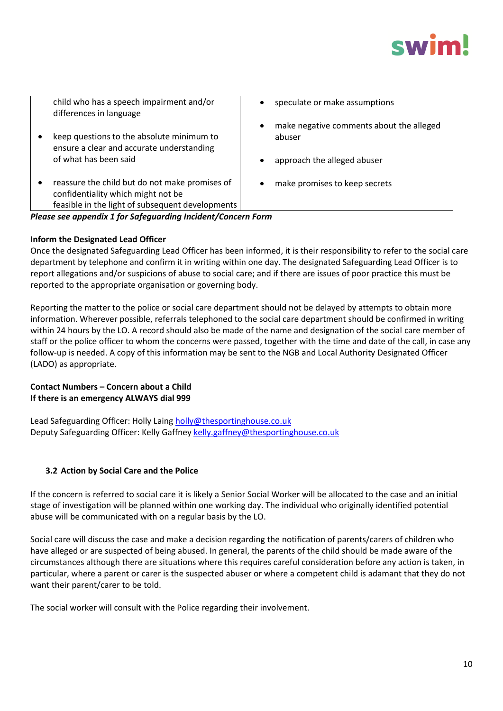

| child who has a speech impairment and/or<br>differences in language                                                                                   | speculate or make assumptions<br>$\bullet$                      |
|-------------------------------------------------------------------------------------------------------------------------------------------------------|-----------------------------------------------------------------|
| keep questions to the absolute minimum to<br>ensure a clear and accurate understanding                                                                | make negative comments about the alleged<br>$\bullet$<br>abuser |
| of what has been said                                                                                                                                 | approach the alleged abuser<br>$\bullet$                        |
| reassure the child but do not make promises of<br>$\bullet$<br>confidentiality which might not be<br>feasible in the light of subsequent developments | make promises to keep secrets<br>$\bullet$                      |
| Please see appendix 1 for Safeguarding Incident/Concern Form                                                                                          |                                                                 |
|                                                                                                                                                       |                                                                 |

#### **Inform the Designated Lead Officer**

Once the designated Safeguarding Lead Officer has been informed, it is their responsibility to refer to the social care department by telephone and confirm it in writing within one day. The designated Safeguarding Lead Officer is to report allegations and/or suspicions of abuse to social care; and if there are issues of poor practice this must be reported to the appropriate organisation or governing body.

Reporting the matter to the police or social care department should not be delayed by attempts to obtain more information. Wherever possible, referrals telephoned to the social care department should be confirmed in writing within 24 hours by the LO. A record should also be made of the name and designation of the social care member of staff or the police officer to whom the concerns were passed, together with the time and date of the call, in case any follow-up is needed. A copy of this information may be sent to the NGB and Local Authority Designated Officer (LADO) as appropriate.

#### **Contact Numbers – Concern about a Child If there is an emergency ALWAYS dial 999**

Lead Safeguarding Officer: Holly Lain[g holly@thesportinghouse.co.uk](mailto:holly@thesportinghouse.co.uk) Deputy Safeguarding Officer: Kelly Gaffney [kelly.gaffney@thesportinghouse.co.uk](mailto:kelly.gaffney@thesportinghouse.co.uk)

#### **3.2 Action by Social Care and the Police**

If the concern is referred to social care it is likely a Senior Social Worker will be allocated to the case and an initial stage of investigation will be planned within one working day. The individual who originally identified potential abuse will be communicated with on a regular basis by the LO.

Social care will discuss the case and make a decision regarding the notification of parents/carers of children who have alleged or are suspected of being abused. In general, the parents of the child should be made aware of the circumstances although there are situations where this requires careful consideration before any action is taken, in particular, where a parent or carer is the suspected abuser or where a competent child is adamant that they do not want their parent/carer to be told.

The social worker will consult with the Police regarding their involvement.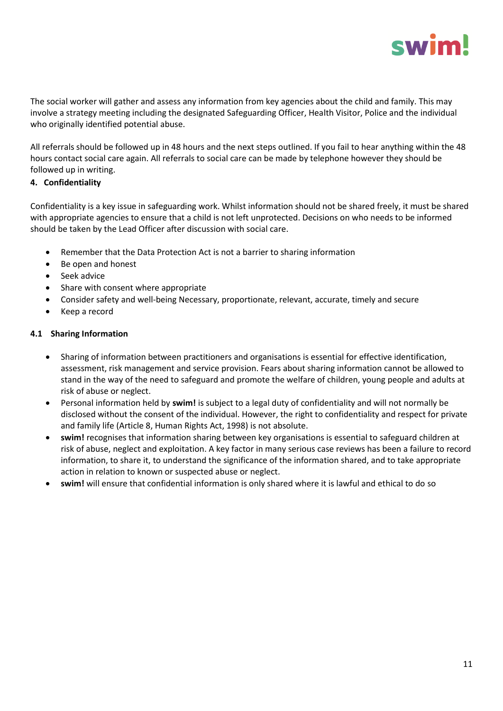

The social worker will gather and assess any information from key agencies about the child and family. This may involve a strategy meeting including the designated Safeguarding Officer, Health Visitor, Police and the individual who originally identified potential abuse.

All referrals should be followed up in 48 hours and the next steps outlined. If you fail to hear anything within the 48 hours contact social care again. All referrals to social care can be made by telephone however they should be followed up in writing.

#### **4. Confidentiality**

Confidentiality is a key issue in safeguarding work. Whilst information should not be shared freely, it must be shared with appropriate agencies to ensure that a child is not left unprotected. Decisions on who needs to be informed should be taken by the Lead Officer after discussion with social care.

- Remember that the Data Protection Act is not a barrier to sharing information
- Be open and honest
- Seek advice
- Share with consent where appropriate
- Consider safety and well-being Necessary, proportionate, relevant, accurate, timely and secure
- Keep a record

#### **4.1 Sharing Information**

- Sharing of information between practitioners and organisations is essential for effective identification, assessment, risk management and service provision. Fears about sharing information cannot be allowed to stand in the way of the need to safeguard and promote the welfare of children, young people and adults at risk of abuse or neglect.
- Personal information held by **swim!** is subject to a legal duty of confidentiality and will not normally be disclosed without the consent of the individual. However, the right to confidentiality and respect for private and family life (Article 8, Human Rights Act, 1998) is not absolute.
- **swim!** recognises that information sharing between key organisations is essential to safeguard children at risk of abuse, neglect and exploitation. A key factor in many serious case reviews has been a failure to record information, to share it, to understand the significance of the information shared, and to take appropriate action in relation to known or suspected abuse or neglect.
- **swim!** will ensure that confidential information is only shared where it is lawful and ethical to do so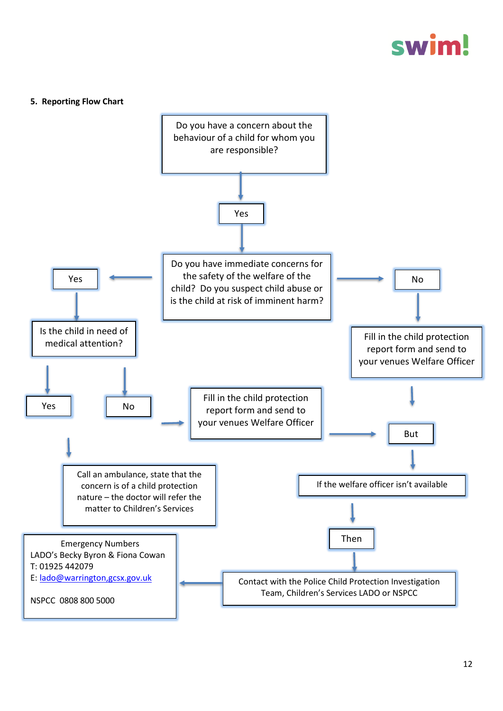## swim

#### **5. Reporting Flow Chart**

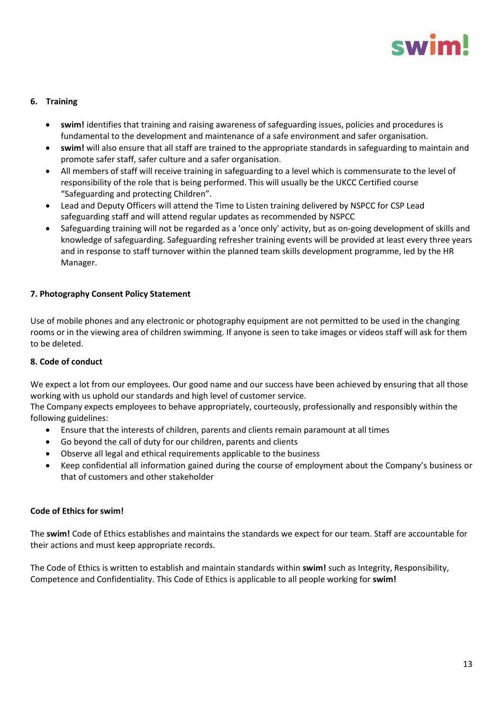### swin

#### **6. Training**

- **swim!** identifies that training and raising awareness of safeguarding issues, policies and procedures is fundamental to the development and maintenance of a safe environment and safer organisation.
- **swim!** will also ensure that all staff are trained to the appropriate standards in safeguarding to maintain and promote safer staff, safer culture and a safer organisation.
- All members of staff will receive training in safeguarding to a level which is commensurate to the level of responsibility of the role that is being performed. This will usually be the UKCC Certified course "Safeguarding and protecting Children".
- Lead and Deputy Officers will attend the Time to Listen training delivered by NSPCC for CSP Lead safeguarding staff and will attend regular updates as recommended by NSPCC
- Safeguarding training will not be regarded as a 'once only' activity, but as on-going development of skills and knowledge of safeguarding. Safeguarding refresher training events will be provided at least every three years and in response to staff turnover within the planned team skills development programme, led by the HR Manager.

#### **7. Photography Consent Policy Statement**

Use of mobile phones and any electronic or photography equipment are not permitted to be used in the changing rooms or in the viewing area of children swimming. If anyone is seen to take images or videos staff will ask for them to be deleted.

#### **8. Code of conduct**

We expect a lot from our employees. Our good name and our success have been achieved by ensuring that all those working with us uphold our standards and high level of customer service.

The Company expects employees to behave appropriately, courteously, professionally and responsibly within the following guidelines:

- Ensure that the interests of children, parents and clients remain paramount at all times
- Go beyond the call of duty for our children, parents and clients
- Observe all legal and ethical requirements applicable to the business
- Keep confidential all information gained during the course of employment about the Company's business or that of customers and other stakeholder

#### **Code of Ethics for swim!**

The **swim!** Code of Ethics establishes and maintains the standards we expect for our team. Staff are accountable for their actions and must keep appropriate records.

The Code of Ethics is written to establish and maintain standards within **swim!** such as Integrity, Responsibility, Competence and Confidentiality. This Code of Ethics is applicable to all people working for **swim!**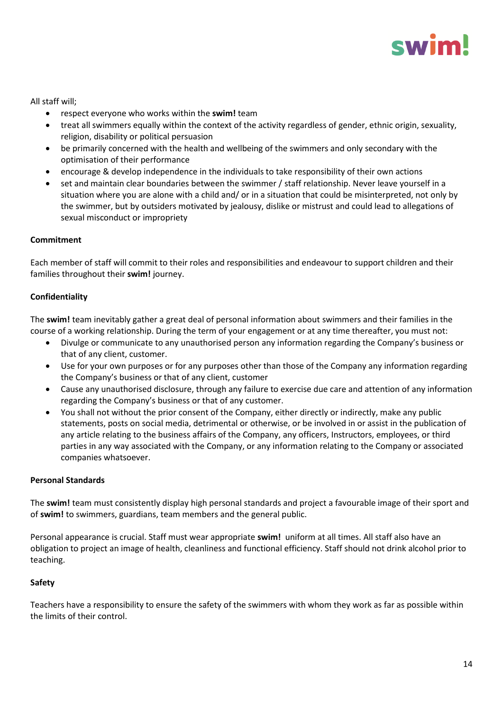

All staff will;

- respect everyone who works within the **swim!** team
- treat all swimmers equally within the context of the activity regardless of gender, ethnic origin, sexuality, religion, disability or political persuasion
- be primarily concerned with the health and wellbeing of the swimmers and only secondary with the optimisation of their performance
- encourage & develop independence in the individuals to take responsibility of their own actions
- set and maintain clear boundaries between the swimmer / staff relationship. Never leave yourself in a situation where you are alone with a child and/ or in a situation that could be misinterpreted, not only by the swimmer, but by outsiders motivated by jealousy, dislike or mistrust and could lead to allegations of sexual misconduct or impropriety

#### **Commitment**

Each member of staff will commit to their roles and responsibilities and endeavour to support children and their families throughout their **swim!** journey.

#### **Confidentiality**

The **swim!** team inevitably gather a great deal of personal information about swimmers and their families in the course of a working relationship. During the term of your engagement or at any time thereafter, you must not:

- Divulge or communicate to any unauthorised person any information regarding the Company's business or that of any client, customer.
- Use for your own purposes or for any purposes other than those of the Company any information regarding the Company's business or that of any client, customer
- Cause any unauthorised disclosure, through any failure to exercise due care and attention of any information regarding the Company's business or that of any customer.
- You shall not without the prior consent of the Company, either directly or indirectly, make any public statements, posts on social media, detrimental or otherwise, or be involved in or assist in the publication of any article relating to the business affairs of the Company, any officers, Instructors, employees, or third parties in any way associated with the Company, or any information relating to the Company or associated companies whatsoever.

#### **Personal Standards**

The **swim!** team must consistently display high personal standards and project a favourable image of their sport and of **swim!** to swimmers, guardians, team members and the general public.

Personal appearance is crucial. Staff must wear appropriate **swim!** uniform at all times. All staff also have an obligation to project an image of health, cleanliness and functional efficiency. Staff should not drink alcohol prior to teaching.

#### **Safety**

Teachers have a responsibility to ensure the safety of the swimmers with whom they work as far as possible within the limits of their control.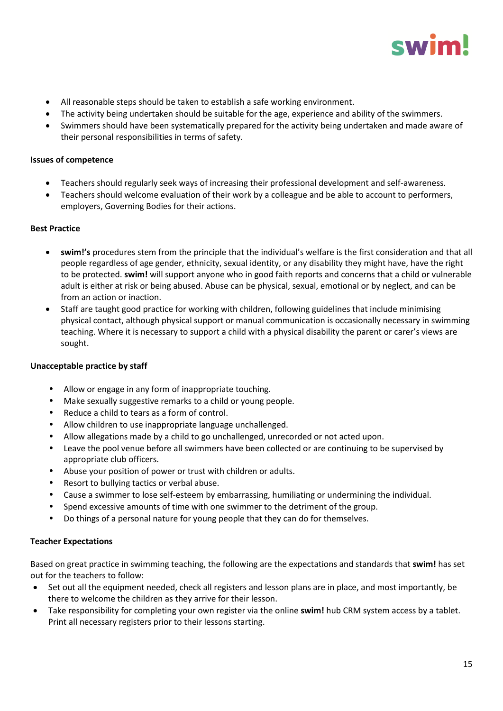

- All reasonable steps should be taken to establish a safe working environment.
- The activity being undertaken should be suitable for the age, experience and ability of the swimmers.
- Swimmers should have been systematically prepared for the activity being undertaken and made aware of their personal responsibilities in terms of safety.

#### **Issues of competence**

- Teachers should regularly seek ways of increasing their professional development and self-awareness.
- Teachers should welcome evaluation of their work by a colleague and be able to account to performers, employers, Governing Bodies for their actions.

#### **Best Practice**

- **swim!'s** procedures stem from the principle that the individual's welfare is the first consideration and that all people regardless of age gender, ethnicity, sexual identity, or any disability they might have, have the right to be protected. **swim!** will support anyone who in good faith reports and concerns that a child or vulnerable adult is either at risk or being abused. Abuse can be physical, sexual, emotional or by neglect, and can be from an action or inaction.
- Staff are taught good practice for working with children, following guidelines that include minimising physical contact, although physical support or manual communication is occasionally necessary in swimming teaching. Where it is necessary to support a child with a physical disability the parent or carer's views are sought.

#### **Unacceptable practice by staff**

- Allow or engage in any form of inappropriate touching.
- Make sexually suggestive remarks to a child or young people.
- Reduce a child to tears as a form of control.
- Allow children to use inappropriate language unchallenged.
- Allow allegations made by a child to go unchallenged, unrecorded or not acted upon.
- Leave the pool venue before all swimmers have been collected or are continuing to be supervised by appropriate club officers.
- Abuse your position of power or trust with children or adults.
- Resort to bullying tactics or verbal abuse.
- Cause a swimmer to lose self-esteem by embarrassing, humiliating or undermining the individual.
- Spend excessive amounts of time with one swimmer to the detriment of the group.
- Do things of a personal nature for young people that they can do for themselves.

#### **Teacher Expectations**

Based on great practice in swimming teaching, the following are the expectations and standards that **swim!** has set out for the teachers to follow:

- Set out all the equipment needed, check all registers and lesson plans are in place, and most importantly, be there to welcome the children as they arrive for their lesson.
- Take responsibility for completing your own register via the online **swim!** hub CRM system access by a tablet. Print all necessary registers prior to their lessons starting.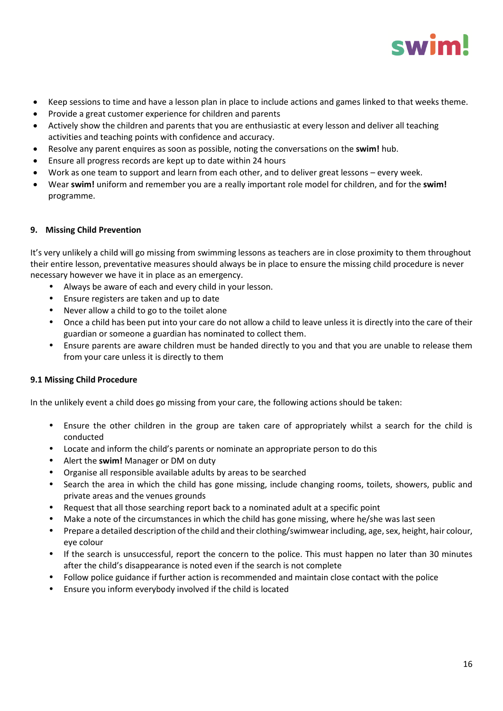

- Keep sessions to time and have a lesson plan in place to include actions and games linked to that weeks theme.
- Provide a great customer experience for children and parents
- Actively show the children and parents that you are enthusiastic at every lesson and deliver all teaching activities and teaching points with confidence and accuracy.
- Resolve any parent enquires as soon as possible, noting the conversations on the **swim!** hub.
- Ensure all progress records are kept up to date within 24 hours
- Work as one team to support and learn from each other, and to deliver great lessons every week.
- Wear **swim!** uniform and remember you are a really important role model for children, and for the **swim!** programme.

#### **9. Missing Child Prevention**

It's very unlikely a child will go missing from swimming lessons as teachers are in close proximity to them throughout their entire lesson, preventative measures should always be in place to ensure the missing child procedure is never necessary however we have it in place as an emergency.

- Always be aware of each and every child in your lesson.
- Ensure registers are taken and up to date
- Never allow a child to go to the toilet alone
- Once a child has been put into your care do not allow a child to leave unless it is directly into the care of their guardian or someone a guardian has nominated to collect them.
- Ensure parents are aware children must be handed directly to you and that you are unable to release them from your care unless it is directly to them

#### **9.1 Missing Child Procedure**

In the unlikely event a child does go missing from your care, the following actions should be taken:

- Ensure the other children in the group are taken care of appropriately whilst a search for the child is conducted
- Locate and inform the child's parents or nominate an appropriate person to do this
- Alert the **swim!** Manager or DM on duty
- Organise all responsible available adults by areas to be searched
- Search the area in which the child has gone missing, include changing rooms, toilets, showers, public and private areas and the venues grounds
- Request that all those searching report back to a nominated adult at a specific point
- Make a note of the circumstances in which the child has gone missing, where he/she was last seen
- Prepare a detailed description of the child and their clothing/swimwear including, age, sex, height, hair colour, eye colour
- If the search is unsuccessful, report the concern to the police. This must happen no later than 30 minutes after the child's disappearance is noted even if the search is not complete
- Follow police guidance if further action is recommended and maintain close contact with the police
- Ensure you inform everybody involved if the child is located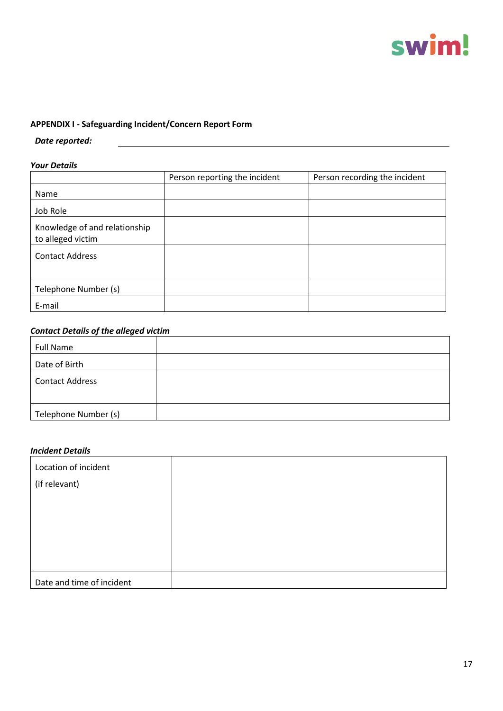

#### **APPENDIX I - Safeguarding Incident/Concern Report Form**

#### *Date reported:*

#### *Your Details*

|                                                    | Person reporting the incident | Person recording the incident |
|----------------------------------------------------|-------------------------------|-------------------------------|
| Name                                               |                               |                               |
| Job Role                                           |                               |                               |
| Knowledge of and relationship<br>to alleged victim |                               |                               |
| <b>Contact Address</b>                             |                               |                               |
|                                                    |                               |                               |
| Telephone Number (s)                               |                               |                               |
| E-mail                                             |                               |                               |

### *Contact Details of the alleged victim*

| <b>Full Name</b>       |  |
|------------------------|--|
| Date of Birth          |  |
| <b>Contact Address</b> |  |
| Telephone Number (s)   |  |

#### *Incident Details*

| Location of incident      |  |
|---------------------------|--|
| (if relevant)             |  |
|                           |  |
|                           |  |
|                           |  |
|                           |  |
|                           |  |
| Date and time of incident |  |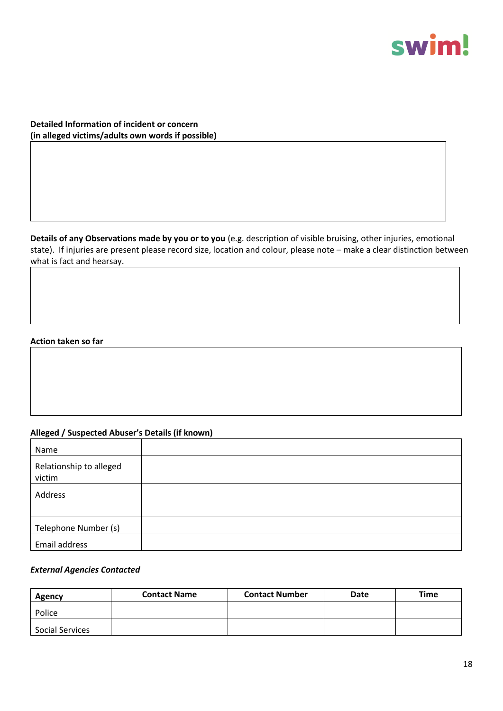

**Detailed Information of incident or concern (in alleged victims/adults own words if possible)**

**Details of any Observations made by you or to you** (e.g. description of visible bruising, other injuries, emotional state). If injuries are present please record size, location and colour, please note – make a clear distinction between what is fact and hearsay.

#### **Action taken so far**

#### **Alleged / Suspected Abuser's Details (if known)**

| Name                              |  |
|-----------------------------------|--|
| Relationship to alleged<br>victim |  |
| Address                           |  |
|                                   |  |
| Telephone Number (s)              |  |
| Email address                     |  |

#### *External Agencies Contacted*

| Agency                 | <b>Contact Name</b> | <b>Contact Number</b> | Date | Time |
|------------------------|---------------------|-----------------------|------|------|
| Police                 |                     |                       |      |      |
| <b>Social Services</b> |                     |                       |      |      |